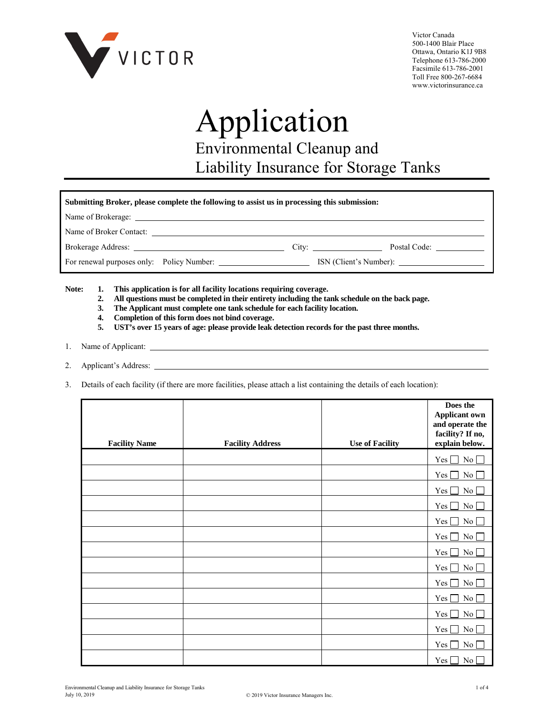

Victor Canada 500-1400 Blair Place Ottawa, Ontario K1J 9B8 Telephone 613-786-2000 Facsimile 613-786-2001 Toll Free 800-267-6684 www.victorinsurance.ca

# Application Environmental Cleanup and Liability Insurance for Storage Tanks

| Submitting Broker, please complete the following to assist us in processing this submission: |       |              |  |  |  |  |  |
|----------------------------------------------------------------------------------------------|-------|--------------|--|--|--|--|--|
|                                                                                              |       |              |  |  |  |  |  |
| Name of Broker Contact:                                                                      |       |              |  |  |  |  |  |
|                                                                                              | City: | Postal Code: |  |  |  |  |  |
| For renewal purposes only: Policy Number:                                                    |       |              |  |  |  |  |  |

**Note: 1. This application is for all facility locations requiring coverage.**

- **2. All questions must be completed in their entirety including the tank schedule on the back page.**
- **3. The Applicant must complete one tank schedule for each facility location.**
- **4. Completion of this form does not bind coverage.**
- **5. UST's over 15 years of age: please provide leak detection records for the past three months.**
- 1. Name of Applicant:
- 2. Applicant's Address:
- 3. Details of each facility (if there are more facilities, please attach a list containing the details of each location):

| <b>Facility Name</b> | <b>Facility Address</b> | <b>Use of Facility</b> | Does the<br><b>Applicant own</b><br>and operate the<br>facility? If no,<br>explain below. |
|----------------------|-------------------------|------------------------|-------------------------------------------------------------------------------------------|
|                      |                         |                        | No<br>Yes [                                                                               |
|                      |                         |                        | $No \Box$<br>Yes                                                                          |
|                      |                         |                        | $\rm No$<br>Yes                                                                           |
|                      |                         |                        | Yes  <br>No                                                                               |
|                      |                         |                        | $\overline{N_0}$<br>Yes [                                                                 |
|                      |                         |                        | Yes [<br>No                                                                               |
|                      |                         |                        | Yes  <br>No                                                                               |
|                      |                         |                        | No<br>Yes                                                                                 |
|                      |                         |                        | $No \Box$<br>Yes [                                                                        |
|                      |                         |                        | Yes [<br>No                                                                               |
|                      |                         |                        | Yes  <br>No                                                                               |
|                      |                         |                        | Yes  <br>$\overline{N_0}$                                                                 |
|                      |                         |                        | $\rm No$<br>Yes                                                                           |
|                      |                         |                        | No<br>$Yes \Box$                                                                          |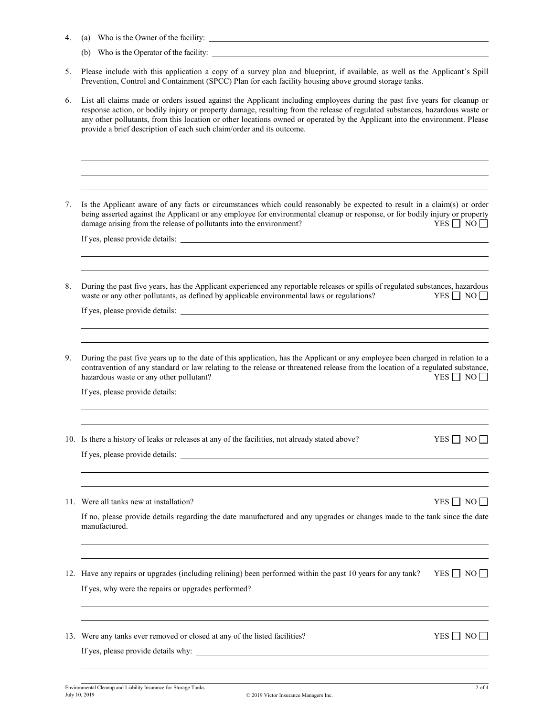- 4. (a) Who is the Owner of the facility:
	- (b) Who is the Operator of the facility:
- 5. Please include with this application a copy of a survey plan and blueprint, if available, as well as the Applicant's Spill Prevention, Control and Containment (SPCC) Plan for each facility housing above ground storage tanks.
- 6. List all claims made or orders issued against the Applicant including employees during the past five years for cleanup or response action, or bodily injury or property damage, resulting from the release of regulated substances, hazardous waste or any other pollutants, from this location or other locations owned or operated by the Applicant into the environment. Please provide a brief description of each such claim/order and its outcome.

7. Is the Applicant aware of any facts or circumstances which could reasonably be expected to result in a claim(s) or order being asserted against the Applicant or any employee for environmental cleanup or response, or for bodily injury or property damage arising from the release of pollutants into the environment? damage arising from the release of pollutants into the environment?

If yes, please provide details:

8. During the past five years, has the Applicant experienced any reportable releases or spills of regulated substances, hazardous waste or any other pollutants, as defined by applicable environmental laws or regulations? waste or any other pollutants, as defined by applicable environmental laws or regulations?

If yes, please provide details:

9. During the past five years up to the date of this application, has the Applicant or any employee been charged in relation to a contravention of any standard or law relating to the release or threatened release from the location of a regulated substance, hazardous waste or any other pollutant? hazardous waste or any other pollutant?

If yes, please provide details:

10. Is there a history of leaks or releases at any of the facilities, not already stated above? YES  $\Box$  NO  $\Box$ 

If yes, please provide details:

11. Were all tanks new at installation?  $YES \Box NO \Box$ 

If no, please provide details regarding the date manufactured and any upgrades or changes made to the tank since the date manufactured.

- 12. Have any repairs or upgrades (including relining) been performed within the past 10 years for any tank? YES  $\Box$  NO  $\Box$ If yes, why were the repairs or upgrades performed?
- 13. Were any tanks ever removed or closed at any of the listed facilities?  $YES \Box NO \Box$

If yes, please provide details why: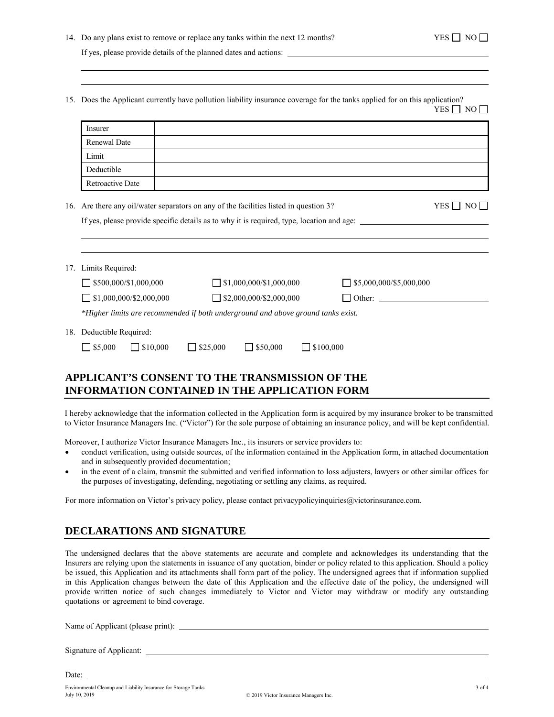15. Does the Applicant currently have pollution liability insurance coverage for the tanks applied for on this application?  $YES \Box NO \Box$ 

| Insurer                  |     |                                                                                                                                                                                                                                                                                                                                                                                                                                                |
|--------------------------|-----|------------------------------------------------------------------------------------------------------------------------------------------------------------------------------------------------------------------------------------------------------------------------------------------------------------------------------------------------------------------------------------------------------------------------------------------------|
| Renewal Date             |     |                                                                                                                                                                                                                                                                                                                                                                                                                                                |
| Limit                    |     |                                                                                                                                                                                                                                                                                                                                                                                                                                                |
| Deductible               |     |                                                                                                                                                                                                                                                                                                                                                                                                                                                |
| Retroactive Date         |     |                                                                                                                                                                                                                                                                                                                                                                                                                                                |
|                          |     | $YES \Box NO \Box$                                                                                                                                                                                                                                                                                                                                                                                                                             |
| Limits Required:         |     |                                                                                                                                                                                                                                                                                                                                                                                                                                                |
|                          |     |                                                                                                                                                                                                                                                                                                                                                                                                                                                |
|                          |     |                                                                                                                                                                                                                                                                                                                                                                                                                                                |
| 18. Deductible Required: |     |                                                                                                                                                                                                                                                                                                                                                                                                                                                |
|                          | 17. | 16. Are there any oil/water separators on any of the facilities listed in question 3?<br>If yes, please provide specific details as to why it is required, type, location and age:<br>$\Box$ \$500,000/\$1,000,000<br>$\Box$ \$1,000,000/\$1,000,000<br>$\Box$ \$5,000,000/\$5,000,000<br>$\Box$ \$1,000,000/\$2,000,000<br>$\Box$ \$2,000,000/\$2,000,000<br>*Higher limits are recommended if both underground and above ground tanks exist. |

# **APPLICANT'S CONSENT TO THE TRANSMISSION OF THE INFORMATION CONTAINED IN THE APPLICATION FORM**

I hereby acknowledge that the information collected in the Application form is acquired by my insurance broker to be transmitted to Victor Insurance Managers Inc. ("Victor") for the sole purpose of obtaining an insurance policy, and will be kept confidential.

Moreover, I authorize Victor Insurance Managers Inc., its insurers or service providers to:

- conduct verification, using outside sources, of the information contained in the Application form, in attached documentation and in subsequently provided documentation;
- in the event of a claim, transmit the submitted and verified information to loss adjusters, lawyers or other similar offices for the purposes of investigating, defending, negotiating or settling any claims, as required.

For more information on Victor's privacy policy, please contact privacypolicyinquiries@victorinsurance.com.

## **DECLARATIONS AND SIGNATURE**

The undersigned declares that the above statements are accurate and complete and acknowledges its understanding that the Insurers are relying upon the statements in issuance of any quotation, binder or policy related to this application. Should a policy be issued, this Application and its attachments shall form part of the policy. The undersigned agrees that if information supplied in this Application changes between the date of this Application and the effective date of the policy, the undersigned will provide written notice of such changes immediately to Victor and Victor may withdraw or modify any outstanding quotations or agreement to bind coverage.

Name of Applicant (please print):

Signature of Applicant:

Date: